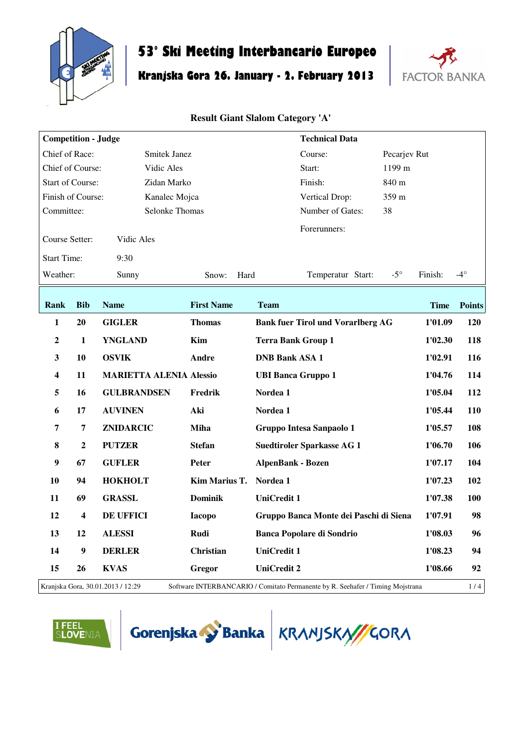

# **53° Ski Meeting Interbancario Europeo**

# **Kranjska Gora 26. January - 2. February 2013**



## **Result Giant Slalom Category 'A'**

| <b>Competition - Judge</b> |                  |                                   |                   | <b>Technical Data</b>                                                          |             |               |
|----------------------------|------------------|-----------------------------------|-------------------|--------------------------------------------------------------------------------|-------------|---------------|
| Chief of Race:             |                  | Smitek Janez                      |                   | Pecarjev Rut<br>Course:                                                        |             |               |
| Chief of Course:           |                  | Vidic Ales                        |                   | 1199 m<br>Start:                                                               |             |               |
| <b>Start of Course:</b>    |                  | Zidan Marko                       |                   | Finish:<br>840 m                                                               |             |               |
| Finish of Course:          |                  | Kanalec Mojca                     |                   | 359 m<br>Vertical Drop:                                                        |             |               |
| Committee:                 |                  | <b>Selonke Thomas</b>             |                   | Number of Gates:<br>38                                                         |             |               |
| Course Setter:             |                  | Vidic Ales                        |                   | Forerunners:                                                                   |             |               |
| <b>Start Time:</b>         |                  | 9:30                              |                   |                                                                                |             |               |
| Weather:                   |                  | Sunny                             | Hard<br>Snow:     | $-5^\circ$<br>Temperatur Start:                                                | Finish:     | $-4^\circ$    |
| Rank                       | <b>Bib</b>       | <b>Name</b>                       | <b>First Name</b> | <b>Team</b>                                                                    | <b>Time</b> | <b>Points</b> |
| $\mathbf{1}$               | 20               | <b>GIGLER</b>                     | <b>Thomas</b>     | <b>Bank fuer Tirol und Vorarlberg AG</b>                                       | 1'01.09     | <b>120</b>    |
| $\boldsymbol{2}$           | $\mathbf{1}$     | <b>YNGLAND</b>                    | Kim               | <b>Terra Bank Group 1</b>                                                      | 1'02.30     | 118           |
| $\mathbf{3}$               | 10               | <b>OSVIK</b>                      | Andre             | <b>DNB Bank ASA 1</b>                                                          | 1'02.91     | 116           |
| $\overline{\mathbf{4}}$    | 11               | <b>MARIETTA ALENIA Alessio</b>    |                   | <b>UBI Banca Gruppo 1</b>                                                      | 1'04.76     | 114           |
| 5                          | 16               | <b>GULBRANDSEN</b>                | Fredrik           | Nordea 1                                                                       | 1'05.04     | 112           |
| 6                          | 17               | <b>AUVINEN</b>                    | Aki               | Nordea 1                                                                       | 1'05.44     | <b>110</b>    |
| 7                          | 7                | ZNIDARCIC                         | <b>Miha</b>       | Gruppo Intesa Sanpaolo 1                                                       | 1'05.57     | 108           |
| $\bf{8}$                   | $\overline{2}$   | <b>PUTZER</b>                     | <b>Stefan</b>     | <b>Suedtiroler Sparkasse AG 1</b>                                              | 1'06.70     | 106           |
| 9                          | 67               | <b>GUFLER</b>                     | Peter             | <b>AlpenBank - Bozen</b>                                                       | 1'07.17     | 104           |
| 10                         | 94               | <b>HOKHOLT</b>                    | Kim Marius T.     | Nordea 1                                                                       | 1'07.23     | 102           |
| 11                         | 69               | <b>GRASSL</b>                     | <b>Dominik</b>    | <b>UniCredit 1</b>                                                             | 1'07.38     | 100           |
| 12                         | 4                | <b>DE UFFICI</b>                  | <b>Iacopo</b>     | Gruppo Banca Monte dei Paschi di Siena                                         | 1'07.91     | 98            |
| 13                         | 12               | <b>ALESSI</b>                     | Rudi              | <b>Banca Popolare di Sondrio</b>                                               | 1'08.03     | 96            |
| 14                         | $\boldsymbol{9}$ | <b>DERLER</b>                     | <b>Christian</b>  | <b>UniCredit 1</b>                                                             | 1'08.23     | 94            |
| 15                         | 26               | <b>KVAS</b>                       | Gregor            | <b>UniCredit 2</b>                                                             | 1'08.66     | 92            |
|                            |                  | Kranjska Gora, 30.01.2013 / 12:29 |                   | Software INTERBANCARIO / Comitato Permanente by R. Seehafer / Timing Mojstrana |             | 1/4           |





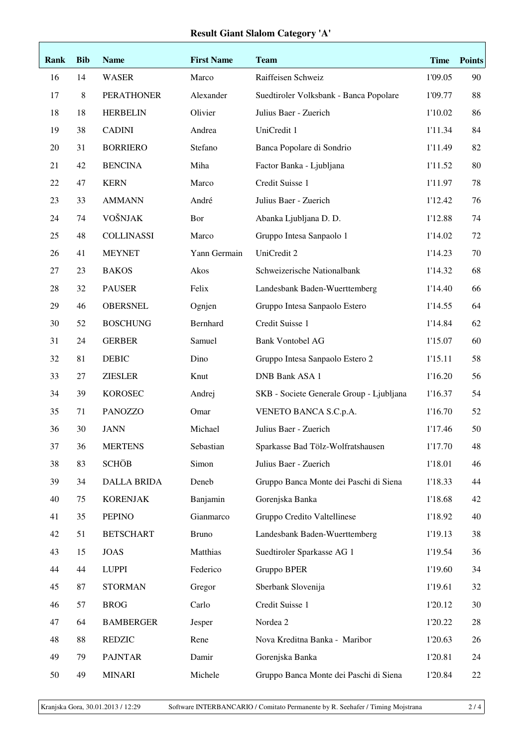### **Result Giant Slalom Category 'A'**

| Rank   | <b>Bib</b> | <b>Name</b>        | <b>First Name</b> | <b>Team</b>                              | <b>Time</b> | <b>Points</b> |
|--------|------------|--------------------|-------------------|------------------------------------------|-------------|---------------|
| 16     | 14         | <b>WASER</b>       | Marco             | Raiffeisen Schweiz                       | 1'09.05     | 90            |
| 17     | 8          | <b>PERATHONER</b>  | Alexander         | Suedtiroler Volksbank - Banca Popolare   | 1'09.77     | 88            |
| 18     | 18         | <b>HERBELIN</b>    | Olivier           | Julius Baer - Zuerich                    | 1'10.02     | 86            |
| 19     | 38         | <b>CADINI</b>      | Andrea            | UniCredit 1                              | 1'11.34     | 84            |
| $20\,$ | 31         | <b>BORRIERO</b>    | Stefano           | Banca Popolare di Sondrio                | 1'11.49     | 82            |
| 21     | 42         | <b>BENCINA</b>     | Miha              | Factor Banka - Ljubljana                 | 1'11.52     | 80            |
| 22     | 47         | <b>KERN</b>        | Marco             | Credit Suisse 1                          | 1'11.97     | 78            |
| 23     | 33         | <b>AMMANN</b>      | André             | Julius Baer - Zuerich                    | 1'12.42     | 76            |
| 24     | 74         | VOŠNJAK            | Bor               | Abanka Ljubljana D. D.                   | 1'12.88     | 74            |
| 25     | 48         | <b>COLLINASSI</b>  | Marco             | Gruppo Intesa Sanpaolo 1                 | 1'14.02     | 72            |
| 26     | 41         | <b>MEYNET</b>      | Yann Germain      | UniCredit 2                              | 1'14.23     | 70            |
| 27     | 23         | <b>BAKOS</b>       | Akos              | Schweizerische Nationalbank              | 1'14.32     | 68            |
| 28     | 32         | <b>PAUSER</b>      | Felix             | Landesbank Baden-Wuerttemberg            | 1'14.40     | 66            |
| 29     | 46         | <b>OBERSNEL</b>    | Ognjen            | Gruppo Intesa Sanpaolo Estero            | 1'14.55     | 64            |
| 30     | 52         | <b>BOSCHUNG</b>    | Bernhard          | Credit Suisse 1                          | 1'14.84     | 62            |
| 31     | 24         | <b>GERBER</b>      | Samuel            | <b>Bank Vontobel AG</b>                  | 1'15.07     | 60            |
| 32     | 81         | <b>DEBIC</b>       | Dino              | Gruppo Intesa Sanpaolo Estero 2          | 1'15.11     | 58            |
| 33     | $27\,$     | <b>ZIESLER</b>     | Knut              | DNB Bank ASA 1                           | 1'16.20     | 56            |
| 34     | 39         | <b>KOROSEC</b>     | Andrej            | SKB - Societe Generale Group - Ljubljana | 1'16.37     | 54            |
| 35     | 71         | <b>PANOZZO</b>     | Omar              | VENETO BANCA S.C.p.A.                    | 1'16.70     | 52            |
| 36     | 30         | <b>JANN</b>        | Michael           | Julius Baer - Zuerich                    | 1'17.46     | 50            |
| 37     | 36         | <b>MERTENS</b>     | Sebastian         | Sparkasse Bad Tölz-Wolfratshausen        | 1'17.70     | 48            |
| 38     | 83         | <b>SCHÖB</b>       | Simon             | Julius Baer - Zuerich                    | 1'18.01     | 46            |
| 39     | 34         | <b>DALLA BRIDA</b> | Deneb             | Gruppo Banca Monte dei Paschi di Siena   | 1'18.33     | 44            |
| 40     | 75         | <b>KORENJAK</b>    | Banjamin          | Gorenjska Banka                          | 1'18.68     | 42            |
| 41     | 35         | <b>PEPINO</b>      | Gianmarco         | Gruppo Credito Valtellinese              | 1'18.92     | 40            |
| 42     | 51         | <b>BETSCHART</b>   | <b>Bruno</b>      | Landesbank Baden-Wuerttemberg            | 1'19.13     | 38            |
| 43     | 15         | <b>JOAS</b>        | Matthias          | Suedtiroler Sparkasse AG 1               | 1'19.54     | 36            |
| 44     | 44         | <b>LUPPI</b>       | Federico          | Gruppo BPER                              | 1'19.60     | 34            |
| 45     | 87         | <b>STORMAN</b>     | Gregor            | Sberbank Slovenija                       | 1'19.61     | 32            |
| 46     | 57         | <b>BROG</b>        | Carlo             | Credit Suisse 1                          | 1'20.12     | 30            |
| 47     | 64         | <b>BAMBERGER</b>   | Jesper            | Nordea 2                                 | 1'20.22     | 28            |
| 48     | 88         | <b>REDZIC</b>      | Rene              | Nova Kreditna Banka - Maribor            | 1'20.63     | 26            |
| 49     | 79         | <b>PAJNTAR</b>     | Damir             | Gorenjska Banka                          | 1'20.81     | 24            |
| 50     | 49         | <b>MINARI</b>      | Michele           | Gruppo Banca Monte dei Paschi di Siena   | 1'20.84     | 22            |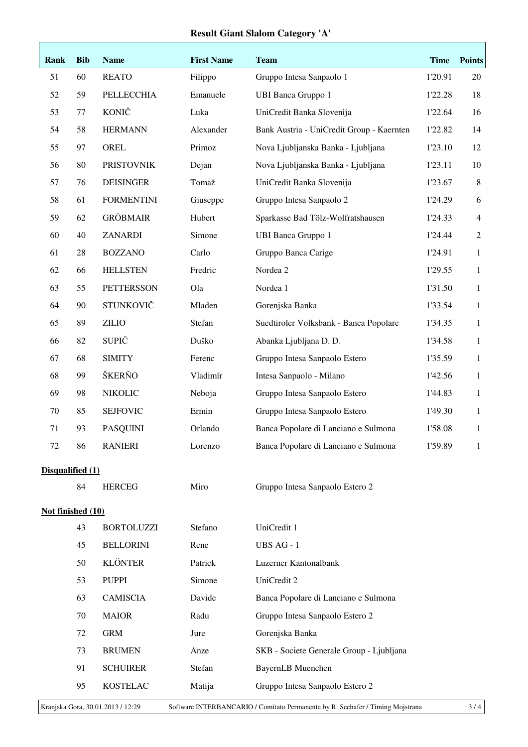### **Result Giant Slalom Category 'A'**

| Rank              | <b>Bib</b>                                                                                                                 | <b>Name</b>       | <b>First Name</b> | <b>Team</b>                               | <b>Time</b> | <b>Points</b>  |
|-------------------|----------------------------------------------------------------------------------------------------------------------------|-------------------|-------------------|-------------------------------------------|-------------|----------------|
| 51                | 60                                                                                                                         | <b>REATO</b>      | Filippo           | Gruppo Intesa Sanpaolo 1                  | 1'20.91     | 20             |
| 52                | 59                                                                                                                         | PELLECCHIA        | Emanuele          | <b>UBI Banca Gruppo 1</b>                 | 1'22.28     | 18             |
| 53                | 77                                                                                                                         | <b>KONIČ</b>      | Luka              | UniCredit Banka Slovenija                 | 1'22.64     | 16             |
| 54                | 58                                                                                                                         | <b>HERMANN</b>    | Alexander         | Bank Austria - UniCredit Group - Kaernten | 1'22.82     | 14             |
| 55                | 97                                                                                                                         | OREL              | Primoz            | Nova Ljubljanska Banka - Ljubljana        | 1'23.10     | 12             |
| 56                | 80                                                                                                                         | <b>PRISTOVNIK</b> | Dejan             | Nova Ljubljanska Banka - Ljubljana        | 1'23.11     | 10             |
| 57                | 76                                                                                                                         | <b>DEISINGER</b>  | Tomaž             | UniCredit Banka Slovenija                 | 1'23.67     | $8\,$          |
| 58                | 61                                                                                                                         | <b>FORMENTINI</b> | Giuseppe          | Gruppo Intesa Sanpaolo 2                  | 1'24.29     | 6              |
| 59                | 62                                                                                                                         | <b>GRÖBMAIR</b>   | Hubert            | Sparkasse Bad Tölz-Wolfratshausen         | 1'24.33     | $\overline{4}$ |
| 60                | 40                                                                                                                         | <b>ZANARDI</b>    | Simone            | <b>UBI Banca Gruppo 1</b>                 | 1'24.44     | $\overline{2}$ |
| 61                | 28                                                                                                                         | <b>BOZZANO</b>    | Carlo             | Gruppo Banca Carige                       | 1'24.91     | $\mathbf{1}$   |
| 62                | 66                                                                                                                         | <b>HELLSTEN</b>   | Fredric           | Nordea 2                                  | 1'29.55     | $\mathbf{1}$   |
| 63                | 55                                                                                                                         | <b>PETTERSSON</b> | Ola               | Nordea 1                                  | 1'31.50     | $\mathbf{1}$   |
| 64                | 90                                                                                                                         | STUNKOVIČ         | Mladen            | Gorenjska Banka                           | 1'33.54     | $\mathbf{1}$   |
| 65                | 89                                                                                                                         | <b>ZILIO</b>      | Stefan            | Suedtiroler Volksbank - Banca Popolare    | 1'34.35     | $\mathbf{1}$   |
| 66                | 82                                                                                                                         | <b>SUPIČ</b>      | Duško             | Abanka Ljubljana D. D.                    | 1'34.58     | $\mathbf{1}$   |
| 67                | 68                                                                                                                         | <b>SIMITY</b>     | Ferenc            | Gruppo Intesa Sanpaolo Estero             | 1'35.59     | $\mathbf{1}$   |
| 68                | 99                                                                                                                         | ŠKERŇO            | Vladimír          | Intesa Sanpaolo - Milano                  | 1'42.56     | $\mathbf{1}$   |
| 69                | 98                                                                                                                         | <b>NIKOLIC</b>    | Neboja            | Gruppo Intesa Sanpaolo Estero             | 1'44.83     | $\mathbf{1}$   |
| 70                | 85                                                                                                                         | <b>SEJFOVIC</b>   | Ermin             | Gruppo Intesa Sanpaolo Estero             | 1'49.30     | $\mathbf{1}$   |
| 71                | 93                                                                                                                         | <b>PASQUINI</b>   | Orlando           | Banca Popolare di Lanciano e Sulmona      | 1'58.08     | $\mathbf{1}$   |
| 72                | 86                                                                                                                         | <b>RANIERI</b>    | Lorenzo           | Banca Popolare di Lanciano e Sulmona      | 1'59.89     | 1              |
| Disqualified (1)  |                                                                                                                            |                   |                   |                                           |             |                |
|                   | 84                                                                                                                         | <b>HERCEG</b>     | Miro              | Gruppo Intesa Sanpaolo Estero 2           |             |                |
| Not finished (10) |                                                                                                                            |                   |                   |                                           |             |                |
|                   | 43                                                                                                                         | <b>BORTOLUZZI</b> | Stefano           | UniCredit 1                               |             |                |
|                   | 45                                                                                                                         | <b>BELLORINI</b>  | Rene              | UBS AG - 1                                |             |                |
|                   | 50                                                                                                                         | <b>KLÖNTER</b>    | Patrick           | Luzerner Kantonalbank                     |             |                |
|                   | 53                                                                                                                         | <b>PUPPI</b>      | Simone            | UniCredit 2                               |             |                |
|                   | 63                                                                                                                         | <b>CAMISCIA</b>   | Davide            | Banca Popolare di Lanciano e Sulmona      |             |                |
|                   | 70                                                                                                                         | <b>MAIOR</b>      | Radu              | Gruppo Intesa Sanpaolo Estero 2           |             |                |
|                   | 72                                                                                                                         | <b>GRM</b>        | Jure              | Gorenjska Banka                           |             |                |
|                   | 73                                                                                                                         | <b>BRUMEN</b>     | Anze              | SKB - Societe Generale Group - Ljubljana  |             |                |
|                   | 91                                                                                                                         | <b>SCHUIRER</b>   | Stefan            | <b>BayernLB</b> Muenchen                  |             |                |
|                   | 95                                                                                                                         | <b>KOSTELAC</b>   | Matija            | Gruppo Intesa Sanpaolo Estero 2           |             |                |
|                   | Kranjska Gora, 30.01.2013 / 12:29<br>Software INTERBANCARIO / Comitato Permanente by R. Seehafer / Timing Mojstrana<br>3/4 |                   |                   |                                           |             |                |